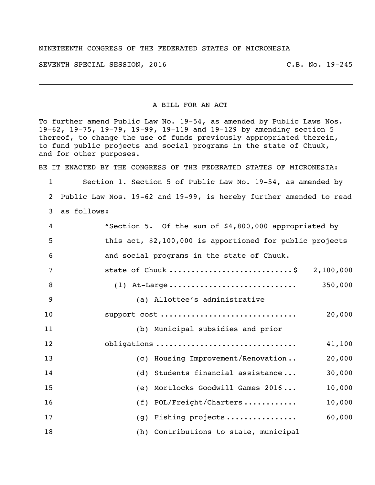## NINETEENTH CONGRESS OF THE FEDERATED STATES OF MICRONESIA

SEVENTH SPECIAL SESSION, 2016 C.B. No. 19-245

A BILL FOR AN ACT

To further amend Public Law No. 19-54, as amended by Public Laws Nos. 19-62, 19-75, 19-79, 19-99, 19-119 and 19-129 by amending section 5 thereof, to change the use of funds previously appropriated therein, to fund public projects and social programs in the state of Chuuk, and for other purposes.

BE IT ENACTED BY THE CONGRESS OF THE FEDERATED STATES OF MICRONESIA:

 Section 1. Section 5 of Public Law No. 19-54, as amended by Public Law Nos. 19-62 and 19-99, is hereby further amended to read as follows:

| 4  | "Section 5. Of the sum of \$4,800,000 appropriated by    |
|----|----------------------------------------------------------|
| 5  | this act, \$2,100,000 is apportioned for public projects |
| 6  | and social programs in the state of Chuuk.               |
| 7  | state of Chuuk \$ 2,100,000                              |
| 8  | 350,000                                                  |
| 9  | (a) Allottee's administrative                            |
| 10 | support cost<br>20,000                                   |
| 11 | (b) Municipal subsidies and prior                        |
| 12 | obligations<br>41,100                                    |
| 13 | (c) Housing Improvement/Renovation<br>20,000             |
| 14 | (d) Students financial assistance<br>30,000              |
| 15 | (e) Mortlocks Goodwill Games 2016<br>10,000              |
| 16 | 10,000<br>$(f)$ POL/Freight/Charters                     |
| 17 | 60,000<br>(g) Fishing projects                           |
| 18 | (h) Contributions to state, municipal                    |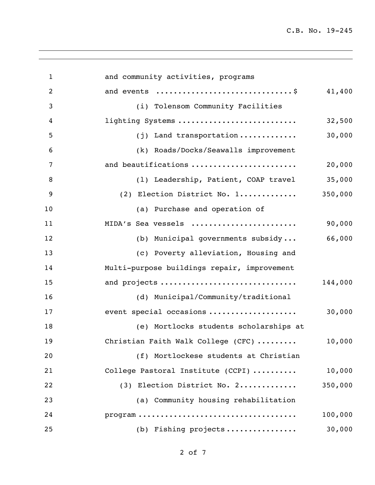| $\mathbf{1}$   | and community activities, programs                                                         |         |
|----------------|--------------------------------------------------------------------------------------------|---------|
| $\overline{2}$ | and events \$                                                                              | 41,400  |
| 3              | (i) Tolensom Community Facilities                                                          |         |
| 4              | lighting Systems                                                                           | 32,500  |
| 5              | (j) Land transportation                                                                    | 30,000  |
| 6              | (k) Roads/Docks/Seawalls improvement                                                       |         |
| 7              | and beautifications                                                                        | 20,000  |
| 8              | (1) Leadership, Patient, COAP travel                                                       | 35,000  |
| 9              | (2) Election District No. 1                                                                | 350,000 |
| 10             | (a) Purchase and operation of                                                              |         |
| 11             | MIDA's Sea vessels                                                                         | 90,000  |
| 12             | (b) Municipal governments subsidy                                                          | 66,000  |
| 13             | (c) Poverty alleviation, Housing and                                                       |         |
| 14             | Multi-purpose buildings repair, improvement                                                |         |
| 15             | and projects                                                                               | 144,000 |
| 16             | (d) Municipal/Community/traditional                                                        |         |
| 17             | event special occasions                                                                    | 30,000  |
| 18             | (e) Mortlocks students scholarships at                                                     |         |
| 19             | Christian Faith Walk College (CFC)                                                         | 10,000  |
| 20             | (f) Mortlockese students at Christian                                                      |         |
| 21             | College Pastoral Institute (CCPI)                                                          | 10,000  |
| 22             | (3) Election District No. 2                                                                | 350,000 |
| 23             | (a) Community housing rehabilitation                                                       |         |
| 24             | $\texttt{program} \dots \dots \dots \dots \dots \dots \dots \dots \dots \dots \dots \dots$ | 100,000 |
| 25             | (b) Fishing projects                                                                       | 30,000  |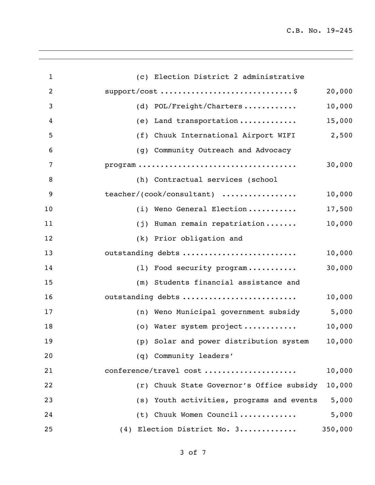| $\mathbf{1}$ | (c) Election District 2 administrative                                               |         |
|--------------|--------------------------------------------------------------------------------------|---------|
| 2            |                                                                                      | 20,000  |
| 3            | (d) POL/Freight/Charters                                                             | 10,000  |
| 4            | Land transportation<br>(e)                                                           | 15,000  |
| 5            | (f) Chuuk International Airport WIFI                                                 | 2,500   |
| 6            | (g) Community Outreach and Advocacy                                                  |         |
| 7            | $\texttt{program} \dots \dots \dots \dots \dots \dots \dots \dots \dots \dots \dots$ | 30,000  |
| 8            | (h) Contractual services (school                                                     |         |
| 9            | teacher/(cook/consultant)                                                            | 10,000  |
| 10           | (i) Weno General Election                                                            | 17,500  |
| 11           | (j) Human remain repatriation                                                        | 10,000  |
| 12           | (k) Prior obligation and                                                             |         |
| 13           | outstanding debts                                                                    | 10,000  |
| 14           | (1) Food security program                                                            | 30,000  |
| 15           | (m) Students financial assistance and                                                |         |
| 16           | outstanding debts                                                                    | 10,000  |
| 17           | (n) Weno Municipal government subsidy                                                | 5,000   |
| 18           | (o) Water system project                                                             | 10,000  |
| 19           | (p) Solar and power distribution system                                              | 10,000  |
| 20           | (q) Community leaders'                                                               |         |
| 21           | conference/travel cost                                                               | 10,000  |
| 22           | (r) Chuuk State Governor's Office subsidy                                            | 10,000  |
| 23           | (s) Youth activities, programs and events                                            | 5,000   |
| 24           | (t) Chuuk Women Council                                                              | 5,000   |
| 25           | (4) Election District No. 3                                                          | 350,000 |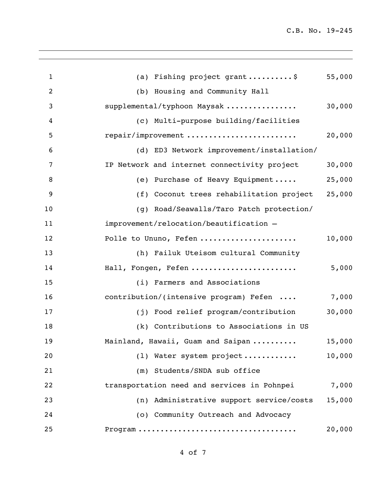| $\mathbf{1}$   | (a) Fishing project grant\$                  | 55,000 |
|----------------|----------------------------------------------|--------|
| $\overline{2}$ | (b) Housing and Community Hall               |        |
| 3              | supplemental/typhoon Maysak                  | 30,000 |
| 4              | (c) Multi-purpose building/facilities        |        |
| 5              | repair/improvement                           | 20,000 |
| 6              | (d) ED3 Network improvement/installation/    |        |
| 7              | IP Network and internet connectivity project | 30,000 |
| 8              | (e) Purchase of Heavy Equipment              | 25,000 |
| 9              | (f) Coconut trees rehabilitation project     | 25,000 |
| 10             | (g) Road/Seawalls/Taro Patch protection/     |        |
| 11             | improvement/relocation/beautification -      |        |
| 12             | Polle to Ununo, Fefen                        | 10,000 |
| 13             | (h) Failuk Uteisom cultural Community        |        |
| 14             | Hall, Fongen, Fefen                          | 5,000  |
| 15             | (i) Farmers and Associations                 |        |
| 16             | contribution/(intensive program) Fefen       | 7,000  |
| 17             | (j) Food relief program/contribution         | 30,000 |
| 18             | (k) Contributions to Associations in US      |        |
| 19             | Mainland, Hawaii, Guam and Saipan            | 15,000 |
| 20             | (1) Water system project                     | 10,000 |
| 21             | (m) Students/SNDA sub office                 |        |
| 22             | transportation need and services in Pohnpei  | 7,000  |
| 23             | (n) Administrative support service/costs     | 15,000 |
| 24             | (o) Community Outreach and Advocacy          |        |
| 25             |                                              | 20,000 |
|                |                                              |        |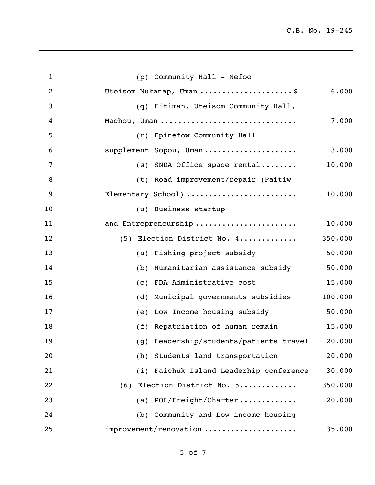| $\mathbf{1}$   | (p) Community Hall - Nefoo              |         |
|----------------|-----------------------------------------|---------|
| $\overline{2}$ | Uteisom Nukanap, Uman \$                | 6,000   |
| 3              | (q) Fitiman, Uteisom Community Hall,    |         |
| 4              | Machou, Uman                            | 7,000   |
| 5              | (r) Epinefow Community Hall             |         |
| 6              | supplement Sopou, Uman                  | 3,000   |
| 7              | $(s)$ SNDA Office space rental          | 10,000  |
| 8              | (t) Road improvement/repair (Paitiw     |         |
| 9              | Elementary School)                      | 10,000  |
| 10             | (u) Business startup                    |         |
| 11             | and Entrepreneurship                    | 10,000  |
| 12             | (5) Election District No. 4             | 350,000 |
| 13             | (a) Fishing project subsidy             | 50,000  |
| 14             | (b) Humanitarian assistance subsidy     | 50,000  |
| 15             | (c) FDA Administrative cost             | 15,000  |
| 16             | Municipal governments subsidies<br>(d)  | 100,000 |
| 17             | (e) Low Income housing subsidy          | 50,000  |
| 18             | (f) Repatriation of human remain        | 15,000  |
| 19             | (g) Leadership/students/patients travel | 20,000  |
| 20             | (h) Students land transportation        | 20,000  |
| 21             | (i) Faichuk Island Leaderhip conference | 30,000  |
| 22             | (6) Election District No. 5             | 350,000 |
| 23             | (a) POL/Freight/Charter                 | 20,000  |
| 24             | (b) Community and Low income housing    |         |
| 25             | improvement/renovation                  | 35,000  |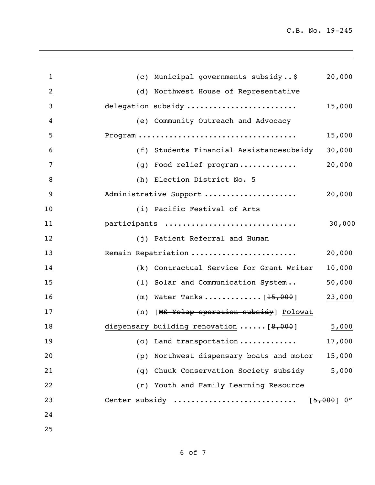| $\mathbf{1}$   | (c) Municipal governments subsidy\$<br>20,000                                                            |
|----------------|----------------------------------------------------------------------------------------------------------|
| $\overline{2}$ | (d) Northwest House of Representative                                                                    |
| 3              | delegation subsidy<br>15,000                                                                             |
| $\overline{4}$ | (e) Community Outreach and Advocacy                                                                      |
| 5              | ${\tt Program}\ \dots \dots \dots \dots \dots \dots \dots \dots \dots \dots \dots \dots \dots$<br>15,000 |
| 6              | (f) Students Financial Assistancesubsidy<br>30,000                                                       |
| 7              | 20,000<br>(g) Food relief program                                                                        |
| 8              | (h) Election District No. 5                                                                              |
| 9              | Administrative Support<br>20,000                                                                         |
| 10             | (i) Pacific Festival of Arts                                                                             |
| 11             | participants<br>30,000                                                                                   |
| 12             | (j) Patient Referral and Human                                                                           |
| 13             | Remain Repatriation<br>20,000                                                                            |
| 14             | 10,000<br>(k) Contractual Service for Grant Writer                                                       |
| 15             | (1) Solar and Communication System<br>50,000                                                             |
| 16             | (m) Water Tanks $[15,000]$<br>23,000                                                                     |
| 17             | (n) [MS Yolap operation subsidy] Polowat                                                                 |
| 18             | dispensary building renovation $\ldots \ldots$ [8,000]<br>5,000                                          |
| 19             | (o) Land transportation<br>17,000                                                                        |
| 20             | Northwest dispensary boats and motor<br>15,000<br>(p)                                                    |
| 21             | 5,000<br>(q) Chuuk Conservation Society subsidy                                                          |
| 22             | (r) Youth and Family Learning Resource                                                                   |
| 23             | Center subsidy<br>$[5,000]$ 0"                                                                           |
| 24             |                                                                                                          |
| 25             |                                                                                                          |